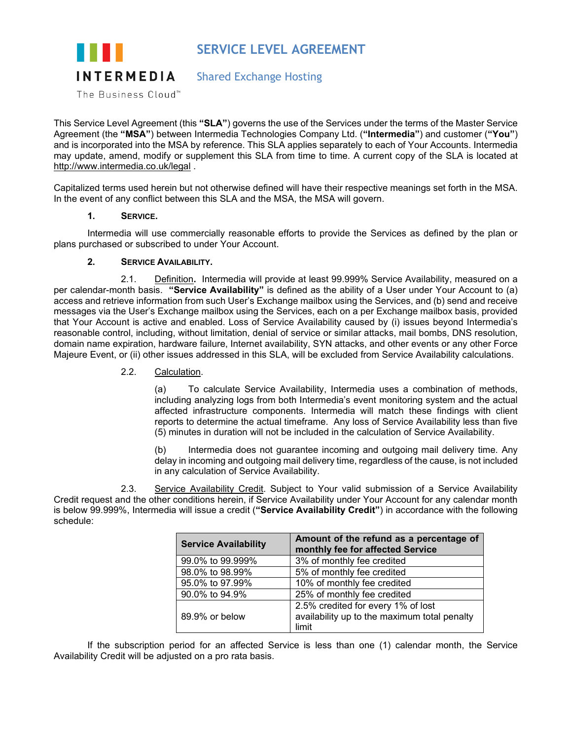# **SERVICE LEVEL AGREEMENT**



## Shared Exchange Hosting

The Business Cloud™

This Service Level Agreement (this **"SLA"**) governs the use of the Services under the terms of the Master Service Agreement (the **"MSA"**) between Intermedia Technologies Company Ltd. (**"Intermedia"**) and customer (**"You"**) and is incorporated into the MSA by reference. This SLA applies separately to each of Your Accounts. Intermedia may update, amend, modify or supplement this SLA from time to time. A current copy of the SLA is located at <http://www.intermedia.co.uk/legal> .

Capitalized terms used herein but not otherwise defined will have their respective meanings set forth in the MSA. In the event of any conflict between this SLA and the MSA, the MSA will govern.

## **1. SERVICE.**

Intermedia will use commercially reasonable efforts to provide the Services as defined by the plan or plans purchased or subscribed to under Your Account.

## **2. SERVICE AVAILABILITY.**

2.1. Definition**.** Intermedia will provide at least 99.999% Service Availability, measured on a per calendar-month basis. **"Service Availability"** is defined as the ability of a User under Your Account to (a) access and retrieve information from such User's Exchange mailbox using the Services, and (b) send and receive messages via the User's Exchange mailbox using the Services, each on a per Exchange mailbox basis, provided that Your Account is active and enabled. Loss of Service Availability caused by (i) issues beyond Intermedia's reasonable control, including, without limitation, denial of service or similar attacks, mail bombs, DNS resolution, domain name expiration, hardware failure, Internet availability, SYN attacks, and other events or any other Force Majeure Event, or (ii) other issues addressed in this SLA, will be excluded from Service Availability calculations.

## 2.2. Calculation.

(a) To calculate Service Availability, Intermedia uses a combination of methods, including analyzing logs from both Intermedia's event monitoring system and the actual affected infrastructure components. Intermedia will match these findings with client reports to determine the actual timeframe. Any loss of Service Availability less than five (5) minutes in duration will not be included in the calculation of Service Availability.

(b) Intermedia does not guarantee incoming and outgoing mail delivery time. Any delay in incoming and outgoing mail delivery time, regardless of the cause, is not included in any calculation of Service Availability.

2.3. Service Availability Credit. Subject to Your valid submission of a Service Availability Credit request and the other conditions herein, if Service Availability under Your Account for any calendar month is below 99.999%, Intermedia will issue a credit (**"Service Availability Credit"**) in accordance with the following schedule:

| <b>Service Availability</b> | Amount of the refund as a percentage of<br>monthly fee for affected Service |
|-----------------------------|-----------------------------------------------------------------------------|
| 99.0% to 99.999%            | 3% of monthly fee credited                                                  |
| 98.0% to 98.99%             | 5% of monthly fee credited                                                  |
| 95.0% to 97.99%             | 10% of monthly fee credited                                                 |
| 90.0% to 94.9%              | 25% of monthly fee credited                                                 |
|                             | 2.5% credited for every 1% of lost                                          |
| 89.9% or below              | availability up to the maximum total penalty                                |
|                             | limit                                                                       |

If the subscription period for an affected Service is less than one (1) calendar month, the Service Availability Credit will be adjusted on a pro rata basis.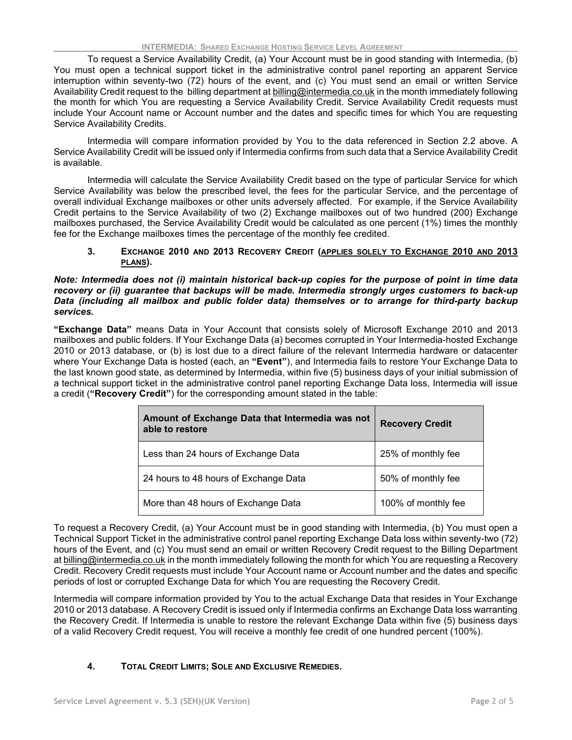To request a Service Availability Credit, (a) Your Account must be in good standing with Intermedia, (b) You must open a technical support ticket in the administrative control panel reporting an apparent Service interruption within seventy-two (72) hours of the event, and (c) You must send an email or written Service Availability Credit request to the billing department at [billing@intermedia.co.uk](mailto:billing@intermedia.co.uk) in the month immediately following the month for which You are requesting a Service Availability Credit. Service Availability Credit requests must include Your Account name or Account number and the dates and specific times for which You are requesting Service Availability Credits.

Intermedia will compare information provided by You to the data referenced in Section 2.2 above. A Service Availability Credit will be issued only if Intermedia confirms from such data that a Service Availability Credit is available.

Intermedia will calculate the Service Availability Credit based on the type of particular Service for which Service Availability was below the prescribed level, the fees for the particular Service, and the percentage of overall individual Exchange mailboxes or other units adversely affected. For example, if the Service Availability Credit pertains to the Service Availability of two (2) Exchange mailboxes out of two hundred (200) Exchange mailboxes purchased, the Service Availability Credit would be calculated as one percent (1%) times the monthly fee for the Exchange mailboxes times the percentage of the monthly fee credited.

#### **3. EXCHANGE 2010 AND 2013 RECOVERY CREDIT (APPLIES SOLELY TO EXCHANGE 2010 AND 2013 PLANS).**

*Note: Intermedia does not (i) maintain historical back-up copies for the purpose of point in time data recovery or (ii) guarantee that backups will be made. Intermedia strongly urges customers to back-up Data (including all mailbox and public folder data) themselves or to arrange for third-party backup services.*

**"Exchange Data"** means Data in Your Account that consists solely of Microsoft Exchange 2010 and 2013 mailboxes and public folders. If Your Exchange Data (a) becomes corrupted in Your Intermedia-hosted Exchange 2010 or 2013 database, or (b) is lost due to a direct failure of the relevant Intermedia hardware or datacenter where Your Exchange Data is hosted (each, an **"Event"**), and Intermedia fails to restore Your Exchange Data to the last known good state, as determined by Intermedia, within five (5) business days of your initial submission of a technical support ticket in the administrative control panel reporting Exchange Data loss, Intermedia will issue a credit (**"Recovery Credit"**) for the corresponding amount stated in the table:

| Amount of Exchange Data that Intermedia was not<br>able to restore | <b>Recovery Credit</b> |
|--------------------------------------------------------------------|------------------------|
| Less than 24 hours of Exchange Data                                | 25% of monthly fee     |
| 24 hours to 48 hours of Exchange Data                              | 50% of monthly fee     |
| More than 48 hours of Exchange Data                                | 100% of monthly fee    |

To request a Recovery Credit, (a) Your Account must be in good standing with Intermedia, (b) You must open a Technical Support Ticket in the administrative control panel reporting Exchange Data loss within seventy-two (72) hours of the Event, and (c) You must send an email or written Recovery Credit request to the Billing Department at [billing@intermedia.co.uk](mailto:billing@intermedia.co.uk) in the month immediately following the month for which You are requesting a Recovery Credit. Recovery Credit requests must include Your Account name or Account number and the dates and specific periods of lost or corrupted Exchange Data for which You are requesting the Recovery Credit.

Intermedia will compare information provided by You to the actual Exchange Data that resides in Your Exchange 2010 or 2013 database. A Recovery Credit is issued only if Intermedia confirms an Exchange Data loss warranting the Recovery Credit. If Intermedia is unable to restore the relevant Exchange Data within five (5) business days of a valid Recovery Credit request, You will receive a monthly fee credit of one hundred percent (100%).

## **4. TOTAL CREDIT LIMITS; SOLE AND EXCLUSIVE REMEDIES.**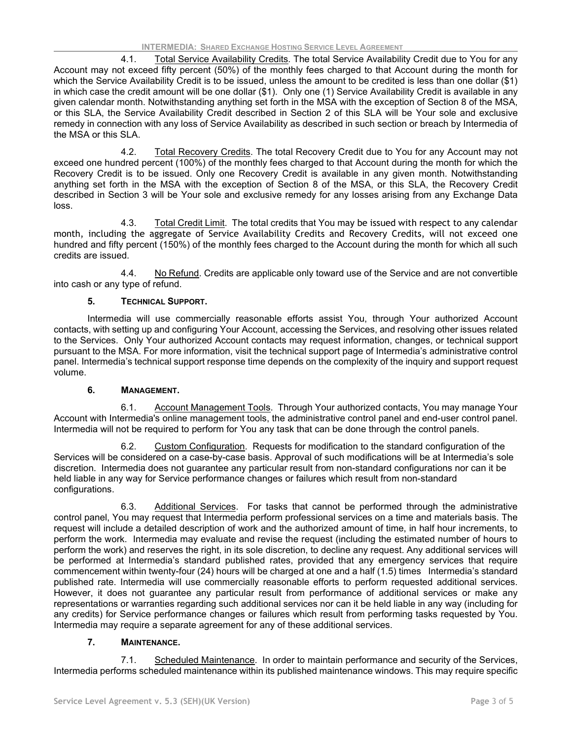4.1. Total Service Availability Credits*.* The total Service Availability Credit due to You for any Account may not exceed fifty percent (50%) of the monthly fees charged to that Account during the month for which the Service Availability Credit is to be issued, unless the amount to be credited is less than one dollar (\$1) in which case the credit amount will be one dollar (\$1). Only one (1) Service Availability Credit is available in any given calendar month. Notwithstanding anything set forth in the MSA with the exception of Section 8 of the MSA, or this SLA, the Service Availability Credit described in Section 2 of this SLA will be Your sole and exclusive remedy in connection with any loss of Service Availability as described in such section or breach by Intermedia of the MSA or this SLA.

4.2. Total Recovery Credits. The total Recovery Credit due to You for any Account may not exceed one hundred percent (100%) of the monthly fees charged to that Account during the month for which the Recovery Credit is to be issued. Only one Recovery Credit is available in any given month. Notwithstanding anything set forth in the MSA with the exception of Section 8 of the MSA, or this SLA, the Recovery Credit described in Section 3 will be Your sole and exclusive remedy for any losses arising from any Exchange Data loss.

4.3. Total Credit Limit. The total credits that You may be issued with respect to any calendar month, including the aggregate of Service Availability Credits and Recovery Credits, will not exceed one hundred and fifty percent (150%) of the monthly fees charged to the Account during the month for which all such credits are issued.

4.4. No Refund. Credits are applicable only toward use of the Service and are not convertible into cash or any type of refund.

## **5. TECHNICAL SUPPORT.**

Intermedia will use commercially reasonable efforts assist You, through Your authorized Account contacts, with setting up and configuring Your Account, accessing the Services, and resolving other issues related to the Services. Only Your authorized Account contacts may request information, changes, or technical support pursuant to the MSA. For more information, visit the technical support page of Intermedia's administrative control panel. Intermedia's technical support response time depends on the complexity of the inquiry and support request volume.

#### **6. MANAGEMENT.**

6.1. Account Management Tools. Through Your authorized contacts, You may manage Your Account with Intermedia's online management tools, the administrative control panel and end-user control panel. Intermedia will not be required to perform for You any task that can be done through the control panels.

6.2. Custom Configuration. Requests for modification to the standard configuration of the Services will be considered on a case-by-case basis. Approval of such modifications will be at Intermedia's sole discretion. Intermedia does not guarantee any particular result from non-standard configurations nor can it be held liable in any way for Service performance changes or failures which result from non-standard configurations.

6.3. Additional Services. For tasks that cannot be performed through the administrative control panel, You may request that Intermedia perform professional services on a time and materials basis. The request will include a detailed description of work and the authorized amount of time, in half hour increments, to perform the work. Intermedia may evaluate and revise the request (including the estimated number of hours to perform the work) and reserves the right, in its sole discretion, to decline any request. Any additional services will be performed at Intermedia's standard published rates, provided that any emergency services that require commencement within twenty-four (24) hours will be charged at one and a half (1.5) times Intermedia's standard published rate. Intermedia will use commercially reasonable efforts to perform requested additional services. However, it does not guarantee any particular result from performance of additional services or make any representations or warranties regarding such additional services nor can it be held liable in any way (including for any credits) for Service performance changes or failures which result from performing tasks requested by You. Intermedia may require a separate agreement for any of these additional services.

#### **7. MAINTENANCE.**

7.1. Scheduled Maintenance. In order to maintain performance and security of the Services, Intermedia performs scheduled maintenance within its published maintenance windows. This may require specific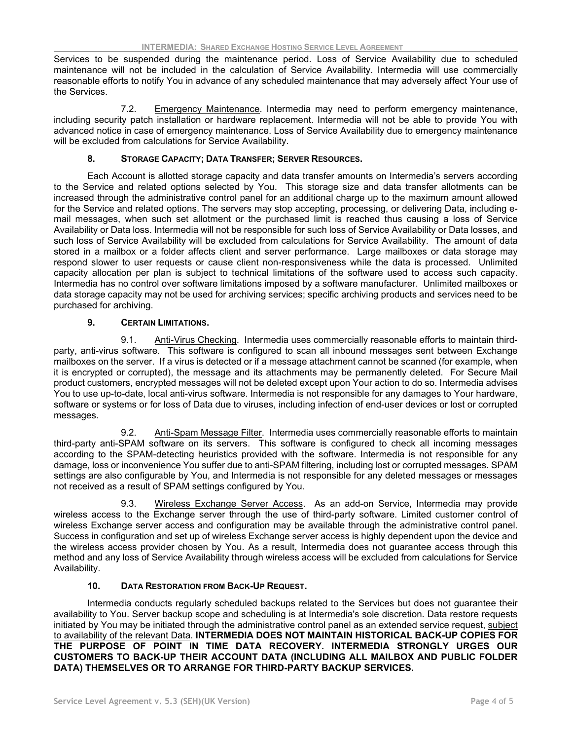Services to be suspended during the maintenance period. Loss of Service Availability due to scheduled maintenance will not be included in the calculation of Service Availability. Intermedia will use commercially reasonable efforts to notify You in advance of any scheduled maintenance that may adversely affect Your use of the Services.

7.2. Emergency Maintenance. Intermedia may need to perform emergency maintenance, including security patch installation or hardware replacement. Intermedia will not be able to provide You with advanced notice in case of emergency maintenance. Loss of Service Availability due to emergency maintenance will be excluded from calculations for Service Availability.

## **8. STORAGE CAPACITY; DATA TRANSFER; SERVER RESOURCES.**

Each Account is allotted storage capacity and data transfer amounts on Intermedia's servers according to the Service and related options selected by You. This storage size and data transfer allotments can be increased through the administrative control panel for an additional charge up to the maximum amount allowed for the Service and related options. The servers may stop accepting, processing, or delivering Data, including email messages, when such set allotment or the purchased limit is reached thus causing a loss of Service Availability or Data loss. Intermedia will not be responsible for such loss of Service Availability or Data losses, and such loss of Service Availability will be excluded from calculations for Service Availability. The amount of data stored in a mailbox or a folder affects client and server performance. Large mailboxes or data storage may respond slower to user requests or cause client non-responsiveness while the data is processed. Unlimited capacity allocation per plan is subject to technical limitations of the software used to access such capacity. Intermedia has no control over software limitations imposed by a software manufacturer. Unlimited mailboxes or data storage capacity may not be used for archiving services; specific archiving products and services need to be purchased for archiving.

## **9. CERTAIN LIMITATIONS.**

9.1. Anti-Virus Checking. Intermedia uses commercially reasonable efforts to maintain thirdparty, anti-virus software. This software is configured to scan all inbound messages sent between Exchange mailboxes on the server. If a virus is detected or if a message attachment cannot be scanned (for example, when it is encrypted or corrupted), the message and its attachments may be permanently deleted. For Secure Mail product customers, encrypted messages will not be deleted except upon Your action to do so. Intermedia advises You to use up-to-date, local anti-virus software. Intermedia is not responsible for any damages to Your hardware, software or systems or for loss of Data due to viruses, including infection of end-user devices or lost or corrupted messages.

9.2. Anti-Spam Message Filter. Intermedia uses commercially reasonable efforts to maintain third-party anti-SPAM software on its servers. This software is configured to check all incoming messages according to the SPAM-detecting heuristics provided with the software. Intermedia is not responsible for any damage, loss or inconvenience You suffer due to anti-SPAM filtering, including lost or corrupted messages. SPAM settings are also configurable by You, and Intermedia is not responsible for any deleted messages or messages not received as a result of SPAM settings configured by You.

9.3. Wireless Exchange Server Access. As an add-on Service, Intermedia may provide wireless access to the Exchange server through the use of third-party software. Limited customer control of wireless Exchange server access and configuration may be available through the administrative control panel. Success in configuration and set up of wireless Exchange server access is highly dependent upon the device and the wireless access provider chosen by You. As a result, Intermedia does not guarantee access through this method and any loss of Service Availability through wireless access will be excluded from calculations for Service Availability.

## **10. DATA RESTORATION FROM BACK-UP REQUEST.**

Intermedia conducts regularly scheduled backups related to the Services but does not guarantee their availability to You. Server backup scope and scheduling is at Intermedia's sole discretion. Data restore requests initiated by You may be initiated through the administrative control panel as an extended service request, subject to availability of the relevant Data. **INTERMEDIA DOES NOT MAINTAIN HISTORICAL BACK-UP COPIES FOR THE PURPOSE OF POINT IN TIME DATA RECOVERY. INTERMEDIA STRONGLY URGES OUR CUSTOMERS TO BACK-UP THEIR ACCOUNT DATA (INCLUDING ALL MAILBOX AND PUBLIC FOLDER DATA) THEMSELVES OR TO ARRANGE FOR THIRD-PARTY BACKUP SERVICES.**